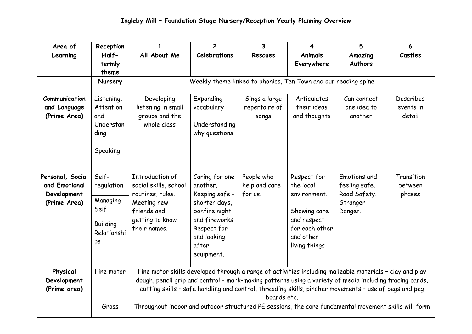| Area of<br>Learning                                              | Reception<br>Half-<br>termly<br>theme                                           | All About Me                                                                                                                                                                                                                                                                                                                                                                                                                                       | $\overline{2}$<br><b>Celebrations</b>                                                                                                                 | 3<br><b>Rescues</b>                     | 4<br><b>Animals</b><br>Everywhere                                                                                       | 5<br>Amazing<br><b>Authors</b>                                       | 6<br>Castles                     |  |  |
|------------------------------------------------------------------|---------------------------------------------------------------------------------|----------------------------------------------------------------------------------------------------------------------------------------------------------------------------------------------------------------------------------------------------------------------------------------------------------------------------------------------------------------------------------------------------------------------------------------------------|-------------------------------------------------------------------------------------------------------------------------------------------------------|-----------------------------------------|-------------------------------------------------------------------------------------------------------------------------|----------------------------------------------------------------------|----------------------------------|--|--|
|                                                                  | <b>Nursery</b>                                                                  | Weekly theme linked to phonics, Ten Town and our reading spine                                                                                                                                                                                                                                                                                                                                                                                     |                                                                                                                                                       |                                         |                                                                                                                         |                                                                      |                                  |  |  |
| Communication<br>and Language<br>(Prime Area)                    | Listening,<br>Attention<br>and<br>Understan<br>ding<br>Speaking                 | Developing<br>listening in small<br>groups and the<br>whole class                                                                                                                                                                                                                                                                                                                                                                                  | Expanding<br>vocabulary<br>Understanding<br>why questions.                                                                                            | Sings a large<br>repertoire of<br>songs | Articulates<br>their ideas<br>and thoughts                                                                              | Can connect<br>one idea to<br>another                                | Describes<br>events in<br>detail |  |  |
| Personal, Social<br>and Emotional<br>Development<br>(Prime Area) | Self-<br>regulation<br>Managing<br>Self<br><b>Building</b><br>Relationshi<br>ps | Introduction of<br>social skills, school<br>routines, rules.<br>Meeting new<br>friends and<br>getting to know<br>their names.                                                                                                                                                                                                                                                                                                                      | Caring for one<br>another.<br>Keeping safe -<br>shorter days,<br>bonfire night<br>and fireworks.<br>Respect for<br>and looking<br>after<br>equipment. | People who<br>help and care<br>for us.  | Respect for<br>the local<br>environment.<br>Showing care<br>and respect<br>for each other<br>and other<br>living things | Emotions and<br>feeling safe.<br>Road Safety.<br>Stranger<br>Danger. | Transition<br>between<br>phases  |  |  |
| Physical<br>Development<br>(Prime area)                          | Fine motor<br>Gross                                                             | Fine motor skills developed through a range of activities including malleable materials - clay and play<br>dough, pencil grip and control - mark-making patterns using a variety of media including tracing cards,<br>cutting skills - safe handling and control, threading skills, pincher movements - use of pegs and peg<br>boards etc.<br>Throughout indoor and outdoor structured PE sessions, the core fundamental movement skills will form |                                                                                                                                                       |                                         |                                                                                                                         |                                                                      |                                  |  |  |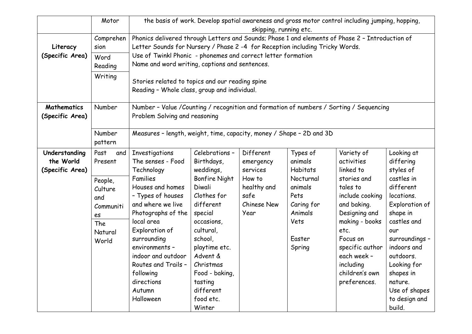|                 | Motor       | the basis of work. Develop spatial awareness and gross motor control including jumping, hopping,                          |                         |             |                 |                        |                       |  |  |
|-----------------|-------------|---------------------------------------------------------------------------------------------------------------------------|-------------------------|-------------|-----------------|------------------------|-----------------------|--|--|
|                 | Comprehen   | skipping, running etc.<br>Phonics delivered through Letters and Sounds; Phase 1 and elements of Phase 2 - Introduction of |                         |             |                 |                        |                       |  |  |
| Literacy        | sion        | Letter Sounds for Nursery / Phase 2 -4 for Reception including Tricky Words.                                              |                         |             |                 |                        |                       |  |  |
| (Specific Area) | Word        | Use of Twinkl Phonic - phonemes and correct letter formation                                                              |                         |             |                 |                        |                       |  |  |
|                 | Reading     | Name and word writing, captions and sentences.                                                                            |                         |             |                 |                        |                       |  |  |
|                 | Writing     |                                                                                                                           |                         |             |                 |                        |                       |  |  |
|                 |             | Stories related to topics and our reading spine                                                                           |                         |             |                 |                        |                       |  |  |
|                 |             | Reading - Whole class, group and individual.                                                                              |                         |             |                 |                        |                       |  |  |
| Mathematics     | Number      | Number - Value / Counting / recognition and formation of numbers / Sorting / Sequencing                                   |                         |             |                 |                        |                       |  |  |
| (Specific Area) |             | Problem Solving and reasoning                                                                                             |                         |             |                 |                        |                       |  |  |
|                 | Number      | Measures - length, weight, time, capacity, money / Shape - 2D and 3D                                                      |                         |             |                 |                        |                       |  |  |
|                 | pattern     |                                                                                                                           |                         |             |                 |                        |                       |  |  |
| Understanding   | Past<br>and | Investigations                                                                                                            | Celebrations -          | Different   | Types of        | Variety of             | Looking at            |  |  |
| the World       | Present     | The senses - Food                                                                                                         | Birthdays,              | emergency   | animals         | activities             | differing             |  |  |
| (Specific Area) |             | Technology                                                                                                                | weddings,               | services    | <b>Habitats</b> | linked to              | styles of             |  |  |
|                 | People,     | Families                                                                                                                  | <b>Bonfire Night</b>    | How to      | Nocturnal       | stories and            | castles in            |  |  |
|                 | Culture     | Houses and homes                                                                                                          | Diwali                  | healthy and | animals         | tales to               | different             |  |  |
|                 | and         | - Types of houses                                                                                                         | Clothes for             | safe        | Pets            | include cooking        | locations.            |  |  |
|                 | Communiti   | and where we live                                                                                                         | different               | Chinese New | Caring for      | and baking.            | Exploration of        |  |  |
|                 | es          | Photographs of the                                                                                                        | special                 | Year        | Animals         | Designing and          | shape in              |  |  |
|                 | The         | local area                                                                                                                | occasions,<br>cultural, |             | Vets            | making - books<br>etc. | castles and           |  |  |
|                 | Natural     | Exploration of<br>surrounding                                                                                             | school,                 |             | Easter          | Focus on               | our<br>surroundings - |  |  |
|                 | World       | environments -                                                                                                            | playtime etc.           |             | Spring          | specific author        | indoors and           |  |  |
|                 |             | indoor and outdoor                                                                                                        | Advent &                |             |                 | each week -            | outdoors.             |  |  |
|                 |             | Routes and Trails -                                                                                                       | Christmas               |             |                 | including              | Looking for           |  |  |
|                 |             | following                                                                                                                 | Food - baking,          |             |                 | children's own         | shapes in             |  |  |
|                 |             | directions                                                                                                                | tasting                 |             |                 | preferences.           | nature.               |  |  |
|                 |             | Autumn                                                                                                                    | different               |             |                 |                        | Use of shapes         |  |  |
|                 |             | Halloween                                                                                                                 | food etc.               |             |                 |                        | to design and         |  |  |
|                 |             |                                                                                                                           | Winter                  |             |                 |                        | build.                |  |  |